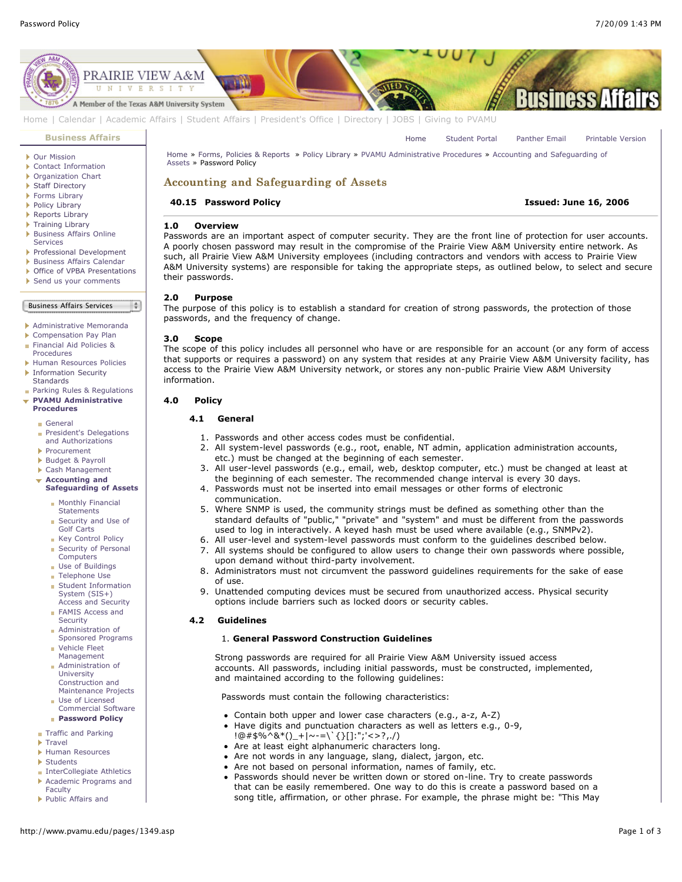[Home](http://www.pvamu.edu/pages/1.asp) [Student Portal](http://panthertracks.pvamu.edu/) [Panther Email](http://www.pvamu.edu/pages/1740.asp) [Printable Version](http://www.pvamu.edu/print/1349.asp)



[Home](http://www.pvamu.edu/pages/1.asp) | [Calendar](http://www.pvamu.edu/pages/222.asp) | [Academic Affairs](http://www.pvamu.edu/pages/116.asp) | [Student Affairs](http://www.pvamu.edu/pages/1441.asp) | [President's Office](http://www.pvamu.edu/pages/117.asp) | [Directory](http://www.pvamu.edu/pages/225.asp) | [JOBS](http://www.pvamu.edu/pages/118.asp) | [Giving to PVAMU](http://www.pvamu.edu/giving)

#### **[Business Affairs](http://www.pvamu.edu/pages/102.asp)**

- [Our Mission](http://www.pvamu.edu/pages/3012.asp)
- [Contact Information](http://www.pvamu.edu/pages/527.asp)
- ▶ [Organization Chart](http://www.pvamu.edu/pages/528.asp)
- ▶ [Staff Directory](http://www.pvamu.edu/pages/529.asp)
- ▶ [Forms Library](http://www.pvamu.edu/pages/531.asp)
- [Policy Library](http://www.pvamu.edu/pages/532.asp)
- **[Reports Library](http://www.pvamu.edu/pages/533.asp)**
- ▶ [Training Library](http://www.pvamu.edu/pages/4512.asp)
- **[Business Affairs Online](http://www.pvamu.edu/pages/5583.asp)** Services
- [Professional Development](http://www.pvamu.edu/pages/4966.asp)
- [Business Affairs Calendar](http://www.pvamu.edu/pages/534.asp)
- ▶ [Office of VPBA Presentations](http://www.pvamu.edu/pages/2940.asp)
- [Send us your comments](http://www.pvamu.edu/pages/535.asp)

Business Affairs Services

[Administrative Memoranda](http://www.pvamu.edu/pages/1230.asp)

- [Compensation Pay Plan](http://www.pvamu.edu/pages/2078.asp)
- [Financial Aid Policies &](http://www.pvamu.edu/pages/2636.asp)
- Procedures
- [Human Resources Policies](http://www.pvamu.edu/pages/679.asp)
- **[Information Security](http://www.pvamu.edu/pages/2492.asp) Standards**
- **[Parking Rules & Regulations](http://www.pvamu.edu/pages/1233.asp) [PVAMU Administrative](http://www.pvamu.edu/pages/1234.asp)**
	- **Procedures** [General](http://www.pvamu.edu/pages/1235.asp)
	- [President's Delegations](http://www.pvamu.edu/pages/1236.asp) and Authorizations
	- [Procurement](http://www.pvamu.edu/pages/1239.asp)
	- [Budget & Payroll](http://www.pvamu.edu/pages/1251.asp)
	- [Cash Management](http://www.pvamu.edu/pages/1328.asp)
	- **Accounting and**
	- **[Safeguarding of Assets](http://www.pvamu.edu/pages/1335.asp)**
		- [Monthly Financial](http://www.pvamu.edu/pages/1336.asp) **Statements**
		- [Security and Use of](http://www.pvamu.edu/pages/1337.asp) Golf Carts
		- **[Key Control Policy](http://www.pvamu.edu/pages/1338.asp)** [Security of Personal](http://www.pvamu.edu/pages/1339.asp)
		- Computers
		- **[Use of Buildings](http://www.pvamu.edu/pages/1340.asp)**
		- **[Telephone Use](http://www.pvamu.edu/pages/1341.asp)**
		- **[Student Information](http://www.pvamu.edu/pages/1342.asp)** System (SIS+) Access and Security
		- **[FAMIS Access and](http://www.pvamu.edu/pages/1343.asp)** Security
		- Administration of [Sponsored Programs](http://www.pvamu.edu/pages/1344.asp)
		- Vehicle Fleet [Management](http://www.pvamu.edu/pages/1345.asp)
		- Administration of University Construction and [Maintenance Projects](http://www.pvamu.edu/pages/1346.asp)
		- **Use of Licensed** [Commercial Software](http://www.pvamu.edu/pages/1347.asp) **[Password Policy](http://www.pvamu.edu/pages/1349.asp)**
		-
	- **[Traffic and Parking](http://www.pvamu.edu/pages/1348.asp)**
	- **[Travel](http://www.pvamu.edu/pages/1350.asp)**

Faculty

- [Human Resources](http://www.pvamu.edu/pages/1358.asp)
- [Students](http://www.pvamu.edu/pages/1374.asp)
- **[InterCollegiate Athletics](http://www.pvamu.edu/pages/1390.asp)**
- [Academic Programs and](http://www.pvamu.edu/pages/1391.asp)
- [Public Affairs and](http://www.pvamu.edu/pages/1410.asp)

[Home » Forms, Policies & Reports » Policy Library » PVAMU Administrative Procedures » Accounting and Safeguarding of](http://www.pvamu.edu/pages/1335.asp) Assets » Password Policy

# Accounting and Safeguarding of Assets

#### **40.15 Password Policy Issued: June 16, 2006**

#### **1.0 Overview**

Passwords are an important aspect of computer security. They are the front line of protection for user accounts. A poorly chosen password may result in the compromise of the Prairie View A&M University entire network. As such, all Prairie View A&M University employees (including contractors and vendors with access to Prairie View A&M University systems) are responsible for taking the appropriate steps, as outlined below, to select and secure their passwords.

#### **2.0 Purpose**

The purpose of this policy is to establish a standard for creation of strong passwords, the protection of those passwords, and the frequency of change.

#### **3.0 Scope**

 $\frac{1}{2}$ 

The scope of this policy includes all personnel who have or are responsible for an account (or any form of access that supports or requires a password) on any system that resides at any Prairie View A&M University facility, has access to the Prairie View A&M University network, or stores any non-public Prairie View A&M University information.

#### **4.0 Policy**

# **4.1 General**

- 1. Passwords and other access codes must be confidential.
- 2. All system-level passwords (e.g., root, enable, NT admin, application administration accounts, etc.) must be changed at the beginning of each semester.
- 3. All user-level passwords (e.g., email, web, desktop computer, etc.) must be changed at least at the beginning of each semester. The recommended change interval is every 30 days.
- 4. Passwords must not be inserted into email messages or other forms of electronic communication.
- 5. Where SNMP is used, the community strings must be defined as something other than the standard defaults of "public," "private" and "system" and must be different from the passwords used to log in interactively. A keyed hash must be used where available (e.g., SNMPv2).
- 6. All user-level and system-level passwords must conform to the guidelines described below.
- 7. All systems should be configured to allow users to change their own passwords where possible, upon demand without third-party involvement.
- 8. Administrators must not circumvent the password guidelines requirements for the sake of ease of use.
- 9. Unattended computing devices must be secured from unauthorized access. Physical security options include barriers such as locked doors or security cables.

#### **4.2 Guidelines**

## 1. **General Password Construction Guidelines**

Strong passwords are required for all Prairie View A&M University issued access accounts. All passwords, including initial passwords, must be constructed, implemented, and maintained according to the following guidelines:

Passwords must contain the following characteristics:

- Contain both upper and lower case characters (e.g., a-z, A-Z)
- $\bullet$  Have digits and punctuation characters as well as letters e.g., 0-9,
- !@#\$%^&\*()\_+|~-=\`{}[]:";'<>?,./)
- Are at least eight alphanumeric characters long.
- Are not words in any language, slang, dialect, jargon, etc.
- Are not based on personal information, names of family, etc.
- Passwords should never be written down or stored on-line. Try to create passwords that can be easily remembered. One way to do this is create a password based on a song title, affirmation, or other phrase. For example, the phrase might be: "This May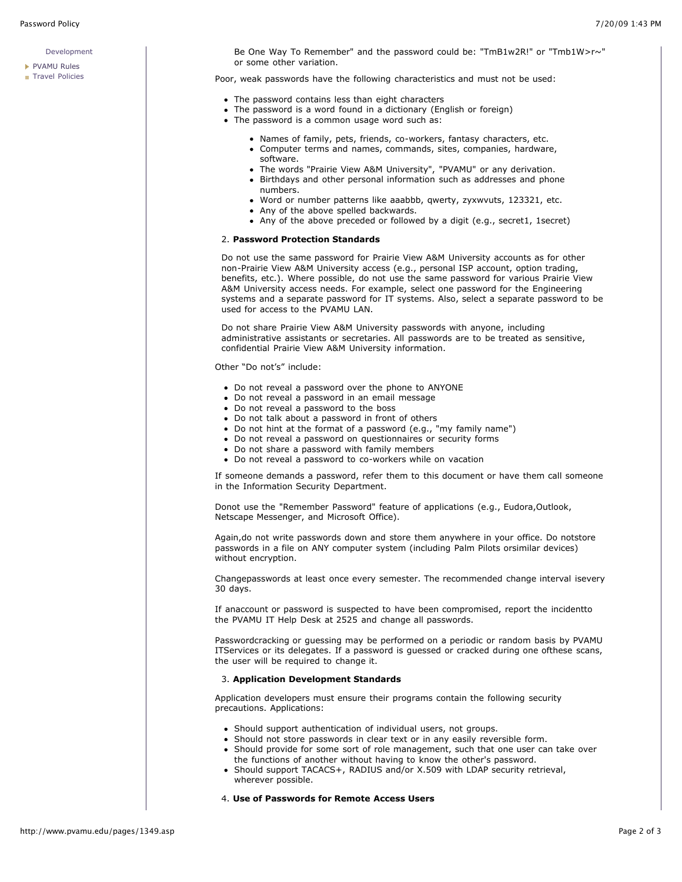#### [Development](http://www.pvamu.edu/pages/1410.asp)

- [PVAMU Rules](http://www.pvamu.edu/pages/1412.asp)
- **[Travel Policies](http://www.pvamu.edu/pages/1414.asp)**

Be One Way To Remember" and the password could be: "TmB1w2R!" or "Tmb1W>r~" or some other variation.

Poor, weak passwords have the following characteristics and must not be used:

- The password contains less than eight characters
- The password is a word found in a dictionary (English or foreign)
- The password is a common usage word such as:
	- Names of family, pets, friends, co-workers, fantasy characters, etc.
	- Computer terms and names, commands, sites, companies, hardware, software.
	- The words "Prairie View A&M University", "PVAMU" or any derivation.
	- Birthdays and other personal information such as addresses and phone numbers.
	- Word or number patterns like aaabbb, qwerty, zyxwvuts, 123321, etc.
	- Any of the above spelled backwards.
	- Any of the above preceded or followed by a digit (e.g., secret1, 1secret)

#### 2. **Password Protection Standards**

Do not use the same password for Prairie View A&M University accounts as for other non-Prairie View A&M University access (e.g., personal ISP account, option trading, benefits, etc.). Where possible, do not use the same password for various Prairie View A&M University access needs. For example, select one password for the Engineering systems and a separate password for IT systems. Also, select a separate password to be used for access to the PVAMU LAN.

Do not share Prairie View A&M University passwords with anyone, including administrative assistants or secretaries. All passwords are to be treated as sensitive, confidential Prairie View A&M University information.

Other "Do not's" include:

- Do not reveal a password over the phone to ANYONE
- Do not reveal a password in an email message
- Do not reveal a password to the boss
- Do not talk about a password in front of others
- Do not hint at the format of a password (e.g., "my family name")
- Do not reveal a password on questionnaires or security forms
- Do not share a password with family members
- Do not reveal a password to co-workers while on vacation

If someone demands a password, refer them to this document or have them call someone in the Information Security Department.

Donot use the "Remember Password" feature of applications (e.g., Eudora,Outlook, Netscape Messenger, and Microsoft Office).

Again,do not write passwords down and store them anywhere in your office. Do notstore passwords in a file on ANY computer system (including Palm Pilots orsimilar devices) without encryption.

Changepasswords at least once every semester. The recommended change interval isevery 30 days.

If anaccount or password is suspected to have been compromised, report the incidentto the PVAMU IT Help Desk at 2525 and change all passwords.

Passwordcracking or guessing may be performed on a periodic or random basis by PVAMU ITServices or its delegates. If a password is guessed or cracked during one ofthese scans, the user will be required to change it.

### 3. **Application Development Standards**

Application developers must ensure their programs contain the following security precautions. Applications:

- Should support authentication of individual users, not groups.
- Should not store passwords in clear text or in any easily reversible form.
- Should provide for some sort of role management, such that one user can take over the functions of another without having to know the other's password.
- Should support TACACS+, RADIUS and/or X.509 with LDAP security retrieval, wherever possible.

#### 4. **Use of Passwords for Remote Access Users**